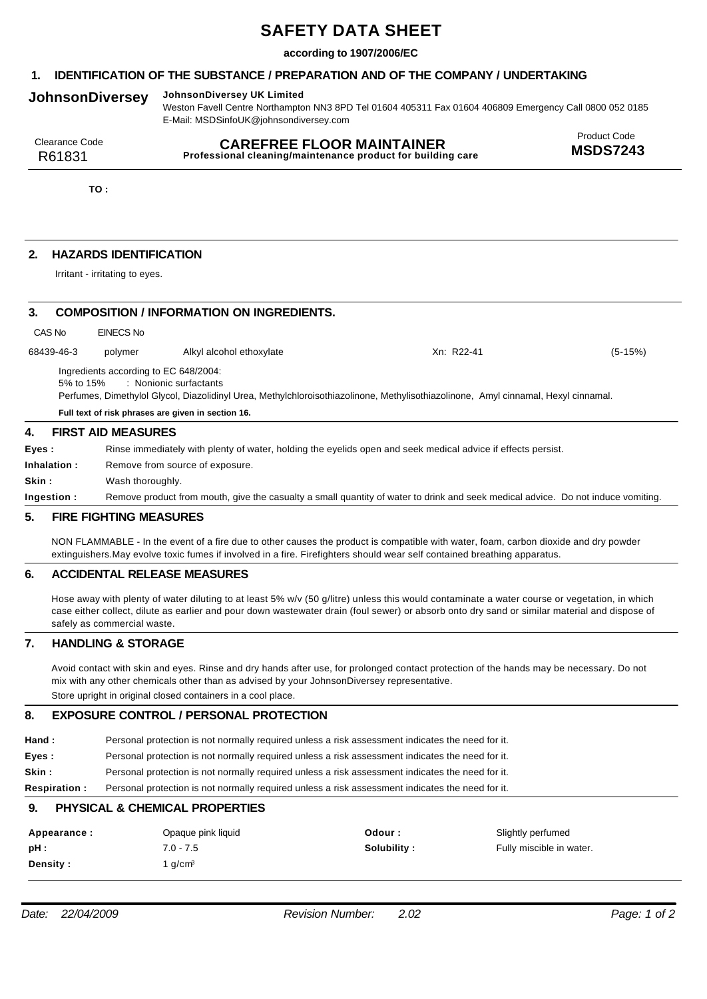# **SAFETY DATA SHEET**

## **according to 1907/2006/EC**

# **1. IDENTIFICATION OF THE SUBSTANCE / PREPARATION AND OF THE COMPANY / UNDERTAKING**

# **JohnsonDiversey JohnsonDiversey UK Limited**

Weston Favell Centre Northampton NN3 8PD Tel 01604 405311 Fax 01604 406809 Emergency Call 0800 052 0185 E-Mail: MSDSinfoUK@johnsondiversey.com

| Clearance Code | <b>CAREFREE FLOOR MAINTAINER</b>                            | <b>Product Code</b> |
|----------------|-------------------------------------------------------------|---------------------|
| R61831         | Professional cleaning/maintenance product for building care | <b>MSDS7243</b>     |

**TO :**

# **2. HAZARDS IDENTIFICATION**

Irritant - irritating to eyes.

| 3.                                                                                                                                                                                                                                                                       |            | <b>COMPOSITION / INFORMATION ON INGREDIENTS.</b> |                          |            |           |  |  |
|--------------------------------------------------------------------------------------------------------------------------------------------------------------------------------------------------------------------------------------------------------------------------|------------|--------------------------------------------------|--------------------------|------------|-----------|--|--|
| CAS No                                                                                                                                                                                                                                                                   |            | EINECS No                                        |                          |            |           |  |  |
|                                                                                                                                                                                                                                                                          | 68439-46-3 | polymer                                          | Alkyl alcohol ethoxylate | Xn: R22-41 | $(5-15%)$ |  |  |
| Ingredients according to EC 648/2004:<br>: Nonionic surfactants<br>5% to 15%<br>Perfumes, Dimethylol Glycol, Diazolidinyl Urea, Methylchloroisothiazolinone, Methylisothiazolinone, Amyl cinnamal, Hexyl cinnamal.<br>Full text of risk phrases are given in section 16. |            |                                                  |                          |            |           |  |  |
| 4.                                                                                                                                                                                                                                                                       |            | <b>FIRST AID MEASURES</b>                        |                          |            |           |  |  |
| Eyes:<br>Rinse immediately with plenty of water, holding the eyelids open and seek medical advice if effects persist.                                                                                                                                                    |            |                                                  |                          |            |           |  |  |
| Inhalation:<br>Remove from source of exposure.                                                                                                                                                                                                                           |            |                                                  |                          |            |           |  |  |
| Skin :                                                                                                                                                                                                                                                                   |            |                                                  | Wash thoroughly.         |            |           |  |  |
| Remove product from mouth, give the casualty a small quantity of water to drink and seek medical advice. Do not induce vomiting.<br>Ingestion:                                                                                                                           |            |                                                  |                          |            |           |  |  |

## **5. FIRE FIGHTING MEASURES**

NON FLAMMABLE - In the event of a fire due to other causes the product is compatible with water, foam, carbon dioxide and dry powder extinguishers.May evolve toxic fumes if involved in a fire. Firefighters should wear self contained breathing apparatus.

#### **6. ACCIDENTAL RELEASE MEASURES**

Hose away with plenty of water diluting to at least 5% w/v (50 g/litre) unless this would contaminate a water course or vegetation, in which case either collect, dilute as earlier and pour down wastewater drain (foul sewer) or absorb onto dry sand or similar material and dispose of safely as commercial waste.

## **7. HANDLING & STORAGE**

Avoid contact with skin and eyes. Rinse and dry hands after use, for prolonged contact protection of the hands may be necessary. Do not mix with any other chemicals other than as advised by your JohnsonDiversey representative. Store upright in original closed containers in a cool place.

#### **8. EXPOSURE CONTROL / PERSONAL PROTECTION**

| Hand : | Personal protection is not normally required unless a risk assessment indicates the need for it. |
|--------|--------------------------------------------------------------------------------------------------|
| Eyes : | Personal protection is not normally required unless a risk assessment indicates the need for it. |

**Skin :** Personal protection is not normally required unless a risk assessment indicates the need for it.

**Respiration :** Personal protection is not normally required unless a risk assessment indicates the need for it.

#### **9. PHYSICAL & CHEMICAL PROPERTIES**

| Appearance :    | Opaque pink liquid | Odour:      | Slightly perfumed        |
|-----------------|--------------------|-------------|--------------------------|
| pH :            | $7.0 - 7.5$        | Solubility: | Fully miscible in water. |
| <b>Density:</b> | l g/cmª            |             |                          |